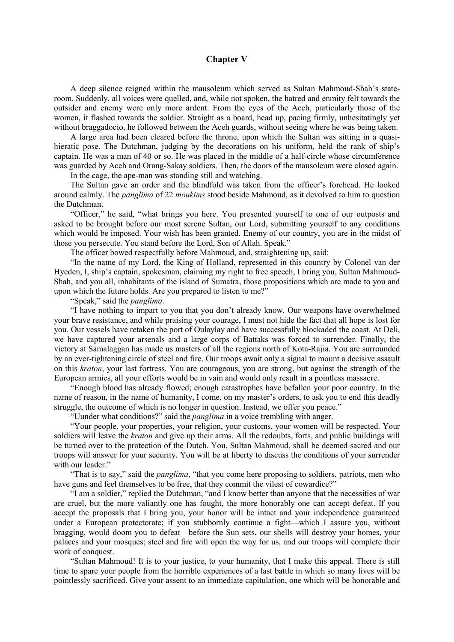## **Chapter V**

A deep silence reigned within the mausoleum which served as Sultan Mahmoud-Shah's stateroom. Suddenly, all voices were quelled, and, while not spoken, the hatred and enmity felt towards the outsider and enemy were only more ardent. From the eyes of the Aceh, particularly those of the women, it flashed towards the soldier. Straight as a board, head up, pacing firmly, unhesitatingly yet without braggadocio, he followed between the Aceh guards, without seeing where he was being taken.

A large area had been cleared before the throne, upon which the Sultan was sitting in a quasihieratic pose. The Dutchman, judging by the decorations on his uniform, held the rank of ship's captain. He was a man of 40 or so. He was placed in the middle of a half-circle whose circumference was guarded by Aceh and Orang-Sakay soldiers. Then, the doors of the mausoleum were closed again.

In the cage, the ape-man was standing still and watching.

The Sultan gave an order and the blindfold was taken from the officer's forehead. He looked around calmly. The *panglima* of 22 *moukims* stood beside Mahmoud, as it devolved to him to question the Dutchman.

"Officer," he said, "what brings you here. You presented yourself to one of our outposts and asked to be brought before our most serene Sultan, our Lord, submitting yourself to any conditions which would be imposed. Your wish has been granted. Enemy of our country, you are in the midst of those you persecute. You stand before the Lord, Son of Allah. Speak."

The officer bowed respectfully before Mahmoud, and, straightening up, said:

"In the name of my Lord, the King of Holland, represented in this country by Colonel van der Hyeden, I, ship's captain, spokesman, claiming my right to free speech, I bring you, Sultan Mahmoud-Shah, and you all, inhabitants of the island of Sumatra, those propositions which are made to you and upon which the future holds. Are you prepared to listen to me?"

"Speak," said the *panglima*.

"I have nothing to impart to you that you don't already know. Our weapons have overwhelmed your brave resistance, and while praising your courage, I must not hide the fact that all hope is lost for you. Our vessels have retaken the port of Oulaylay and have successfully blockaded the coast. At Deli, we have captured your arsenals and a large corps of Battaks was forced to surrender. Finally, the victory at Samalaggan has made us masters of all the regions north of Kota-Rajia. You are surrounded by an ever-tightening circle of steel and fire. Our troops await only a signal to mount a decisive assault on this *kraton*, your last fortress. You are courageous, you are strong, but against the strength of the European armies, all your efforts would be in vain and would only result in a pointless massacre.

"Enough blood has already flowed; enough catastrophes have befallen your poor country. In the name of reason, in the name of humanity, I come, on my master's orders, to ask you to end this deadly struggle, the outcome of which is no longer in question. Instead, we offer you peace."

"Uunder what conditions?" said the *panglima* in a voice trembling with anger.

"Your people, your properties, your religion, your customs, your women will be respected. Your soldiers will leave the *kraton* and give up their arms. All the redoubts, forts, and public buildings will be turned over to the protection of the Dutch. You, Sultan Mahmoud, shall be deemed sacred and our troops will answer for your security. You will be at liberty to discuss the conditions of your surrender with our leader."

"That is to say," said the *panglima*, "that you come here proposing to soldiers, patriots, men who have guns and feel themselves to be free, that they commit the vilest of cowardice?"

"I am a soldier," replied the Dutchman, "and I know better than anyone that the necessities of war are cruel, but the more valiantly one has fought, the more honorably one can accept defeat. If you accept the proposals that I bring you, your honor will be intact and your independence guaranteed under a European protectorate; if you stubbornly continue a fight—which I assure you, without bragging, would doom you to defeat—before the Sun sets, our shells will destroy your homes, your palaces and your mosques; steel and fire will open the way for us, and our troops will complete their work of conquest.

"Sultan Mahmoud! It is to your justice, to your humanity, that I make this appeal. There is still time to spare your people from the horrible experiences of a last battle in which so many lives will be pointlessly sacrificed. Give your assent to an immediate capitulation, one which will be honorable and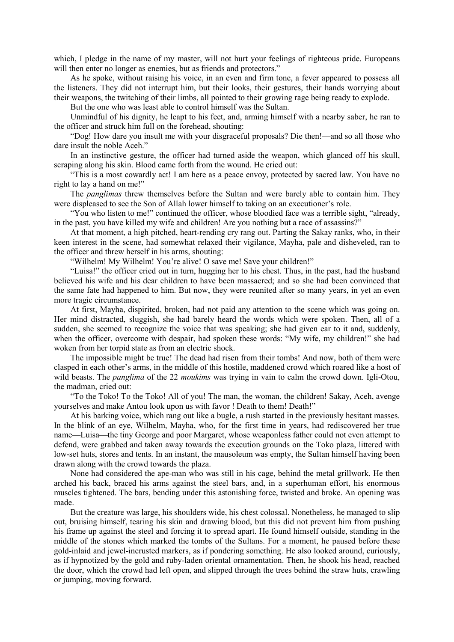which, I pledge in the name of my master, will not hurt your feelings of righteous pride. Europeans will then enter no longer as enemies, but as friends and protectors."

As he spoke, without raising his voice, in an even and firm tone, a fever appeared to possess all the listeners. They did not interrupt him, but their looks, their gestures, their hands worrying about their weapons, the twitching of their limbs, all pointed to their growing rage being ready to explode.

But the one who was least able to control himself was the Sultan.

Unmindful of his dignity, he leapt to his feet, and, arming himself with a nearby saber, he ran to the officer and struck him full on the forehead, shouting:

"Dog! How dare you insult me with your disgraceful proposals? Die then!—and so all those who dare insult the noble Aceh."

In an instinctive gesture, the officer had turned aside the weapon, which glanced off his skull, scraping along his skin. Blood came forth from the wound. He cried out:

"This is a most cowardly act! I am here as a peace envoy, protected by sacred law. You have no right to lay a hand on me!"

The *panglimas* threw themselves before the Sultan and were barely able to contain him. They were displeased to see the Son of Allah lower himself to taking on an executioner's role.

"You who listen to me!" continued the officer, whose bloodied face was a terrible sight, "already, in the past, you have killed my wife and children! Are you nothing but a race of assassins?"

At that moment, a high pitched, heart-rending cry rang out. Parting the Sakay ranks, who, in their keen interest in the scene, had somewhat relaxed their vigilance, Mayha, pale and disheveled, ran to the officer and threw herself in his arms, shouting:

"Wilhelm! My Wilhelm! You're alive! O save me! Save your children!"

"Luisa!" the officer cried out in turn, hugging her to his chest. Thus, in the past, had the husband believed his wife and his dear children to have been massacred; and so she had been convinced that the same fate had happened to him. But now, they were reunited after so many years, in yet an even more tragic circumstance.

At first, Mayha, dispirited, broken, had not paid any attention to the scene which was going on. Her mind distracted, sluggish, she had barely heard the words which were spoken. Then, all of a sudden, she seemed to recognize the voice that was speaking; she had given ear to it and, suddenly, when the officer, overcome with despair, had spoken these words: "My wife, my children!" she had woken from her torpid state as from an electric shock.

The impossible might be true! The dead had risen from their tombs! And now, both of them were clasped in each other's arms, in the middle of this hostile, maddened crowd which roared like a host of wild beasts. The *panglima* of the 22 *moukims* was trying in vain to calm the crowd down. Igli-Otou, the madman, cried out:

"To the Toko! To the Toko! All of you! The man, the woman, the children! Sakay, Aceh, avenge yourselves and make Antou look upon us with favor ! Death to them! Death!"

At his barking voice, which rang out like a bugle, a rush started in the previously hesitant masses. In the blink of an eye, Wilhelm, Mayha, who, for the first time in years, had rediscovered her true name—Luisa—the tiny George and poor Margaret, whose weaponless father could not even attempt to defend, were grabbed and taken away towards the execution grounds on the Toko plaza, littered with low-set huts, stores and tents. In an instant, the mausoleum was empty, the Sultan himself having been drawn along with the crowd towards the plaza.

None had considered the ape-man who was still in his cage, behind the metal grillwork. He then arched his back, braced his arms against the steel bars, and, in a superhuman effort, his enormous muscles tightened. The bars, bending under this astonishing force, twisted and broke. An opening was made.

But the creature was large, his shoulders wide, his chest colossal. Nonetheless, he managed to slip out, bruising himself, tearing his skin and drawing blood, but this did not prevent him from pushing his frame up against the steel and forcing it to spread apart. He found himself outside, standing in the middle of the stones which marked the tombs of the Sultans. For a moment, he paused before these gold-inlaid and jewel-incrusted markers, as if pondering something. He also looked around, curiously, as if hypnotized by the gold and ruby-laden oriental ornamentation. Then, he shook his head, reached the door, which the crowd had left open, and slipped through the trees behind the straw huts, crawling or jumping, moving forward.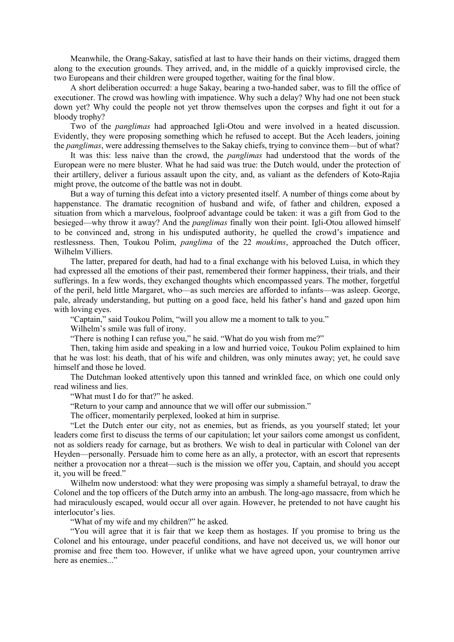Meanwhile, the Orang-Sakay, satisfied at last to have their hands on their victims, dragged them along to the execution grounds. They arrived, and, in the middle of a quickly improvised circle, the two Europeans and their children were grouped together, waiting for the final blow.

A short deliberation occurred: a huge Sakay, bearing a two-handed saber, was to fill the office of executioner. The crowd was howling with impatience. Why such a delay? Why had one not been stuck down yet? Why could the people not yet throw themselves upon the corpses and fight it out for a bloody trophy?

Two of the *panglimas* had approached Igli-Otou and were involved in a heated discussion. Evidently, they were proposing something which he refused to accept. But the Aceh leaders, joining the *panglimas*, were addressing themselves to the Sakay chiefs, trying to convince them—but of what?

It was this: less naive than the crowd, the *panglimas* had understood that the words of the European were no mere bluster. What he had said was true: the Dutch would, under the protection of their artillery, deliver a furious assault upon the city, and, as valiant as the defenders of Koto-Rajia might prove, the outcome of the battle was not in doubt.

But a way of turning this defeat into a victory presented itself. A number of things come about by happenstance. The dramatic recognition of husband and wife, of father and children, exposed a situation from which a marvelous, foolproof advantage could be taken: it was a gift from God to the besieged—why throw it away? And the *panglimas* finally won their point. Igli-Otou allowed himself to be convinced and, strong in his undisputed authority, he quelled the crowd's impatience and restlessness. Then, Toukou Polim, *panglima* of the 22 *moukims*, approached the Dutch officer, Wilhelm Villiers.

The latter, prepared for death, had had to a final exchange with his beloved Luisa, in which they had expressed all the emotions of their past, remembered their former happiness, their trials, and their sufferings. In a few words, they exchanged thoughts which encompassed years. The mother, forgetful of the peril, held little Margaret, who—as such mercies are afforded to infants—was asleep. George, pale, already understanding, but putting on a good face, held his father's hand and gazed upon him with loving eyes.

"Captain," said Toukou Polim, "will you allow me a moment to talk to you."

Wilhelm's smile was full of irony.

"There is nothing I can refuse you," he said. "What do you wish from me?"

Then, taking him aside and speaking in a low and hurried voice, Toukou Polim explained to him that he was lost: his death, that of his wife and children, was only minutes away; yet, he could save himself and those he loved.

The Dutchman looked attentively upon this tanned and wrinkled face, on which one could only read wiliness and lies.

"What must I do for that?" he asked.

"Return to your camp and announce that we will offer our submission."

The officer, momentarily perplexed, looked at him in surprise.

"Let the Dutch enter our city, not as enemies, but as friends, as you yourself stated; let your leaders come first to discuss the terms of our capitulation; let your sailors come amongst us confident, not as soldiers ready for carnage, but as brothers. We wish to deal in particular with Colonel van der Heyden—personally. Persuade him to come here as an ally, a protector, with an escort that represents neither a provocation nor a threat—such is the mission we offer you, Captain, and should you accept it, you will be freed."

Wilhelm now understood: what they were proposing was simply a shameful betrayal, to draw the Colonel and the top officers of the Dutch army into an ambush. The long-ago massacre, from which he had miraculously escaped, would occur all over again. However, he pretended to not have caught his interlocutor's lies.

"What of my wife and my children?" he asked.

"You will agree that it is fair that we keep them as hostages. If you promise to bring us the Colonel and his entourage, under peaceful conditions, and have not deceived us, we will honor our promise and free them too. However, if unlike what we have agreed upon, your countrymen arrive here as enemies..."